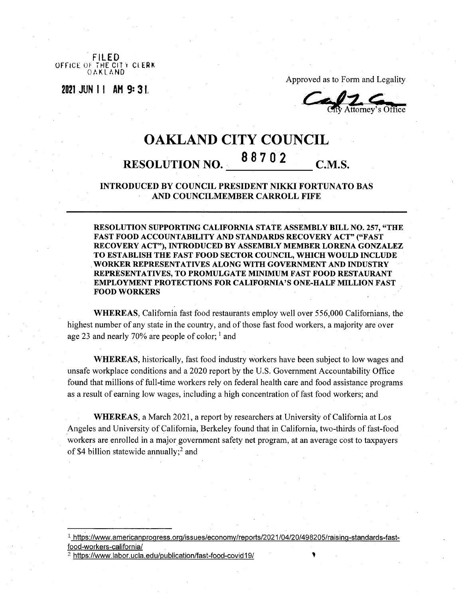**FILED** OFFICE OF THE CITT CLEAR OAKLAND

**<sup>2021</sup> JUN 11 AH 9s 3 !**

Approved as to Form and Legality

Attorney's Office

## OAKLAND CITY COUNCIL <sup>8</sup> <sup>8</sup> <sup>7</sup> <sup>0</sup> <sup>2</sup> **RESOLUTION NO. C.M.S.**

**INTRODUCED BY COUNCIL PRESIDENT NIKKI FORTUNATO BAS AND COUNCILMEMBER CARROLL FIFE**

**RESOLUTION SUPPORTING CALIFORNIA STATE ASSEMBLY BILL NO. 257, "THE FAST FOOD ACCOUNTABILITY AND STANDARDS RECOVERY ACT" ("FAST RECOVERY ACT"), INTRODUCED BY ASSEMBLY MEMBER LORENA GONZALEZ TO ESTABLISH THE FAST FOOD SECTOR COUNCIL, WHICH WOULD INCLUDE WORKER REPRESENTATIVES ALONG WITH GOVERNMENT AND INDUSTRY REPRESENTATIVES, TO PROMULGATE MINIMUM FAST FOOD RESTAURANT EMPLOYMENT PROTECTIONS FOR CALIFORNIA'S ONE-HALF MILLION FAST FOOD WORKERS**

**WHEREAS,** California fast food restaurants employ well over 556,000 Californians, the highest number of any state in the country, and of those fast food workers, a majority are over age 23 and nearly 70% are people of color;  $\frac{1}{1}$  and

**WHEREAS,** historically, fast food industry workers have been subject to low wages and unsafe workplace conditions and a 2020 report by the U.S. Government Accountability Office found that millions of full-time workers rely on federal health care and food assistance programs as a result of earning low wages, including a high concentration of fast food workers; and

WHEREAS, a March 2021, a report by researchers at University of California at Los Angeles and University of California, Berkeley found that in California, two-thirds of fast-food workers are enrolled in a major government safety net program, at an average cost to taxpayers of \$4 billion statewide annually;<sup>2</sup> and

<sup>2</sup> <https://www.labor.ucla.edu/publication/fast-food-covid19/>

<sup>1</sup> [https://www.americanproaress.orq/issues/economv/reports/2021/04/20/498205/raisinq-standards-fast](https://www.americanproaress.orq/issues/economv/reports/2021/04/20/498205/raisinq-standards-fast-food-workers-california/)[food-workers-california/](https://www.americanproaress.orq/issues/economv/reports/2021/04/20/498205/raisinq-standards-fast-food-workers-california/)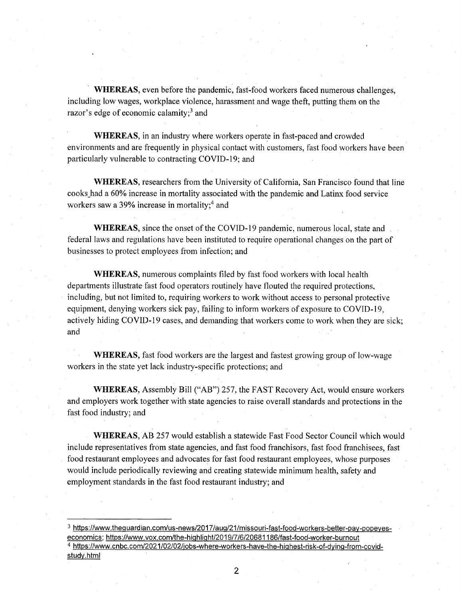**WHEREAS,** even before the pandemic, fast-food workers faced numerous challenges, including low wages, workplace violence, harassment and wage theft, putting them on the razor's edge of economic calamity; $3$  and

**WHEREAS,** in an industry where workers operate in fast-paced and crowded environments and are frequently in physical contact with customers, fast food workers have been particularly vulnerable to contracting COVID-19; and

WHEREAS, researchers from the University of California, San Francisco found that line cooks had a 60% increase in mortality associated with the pandemic and Latinx food service workers saw a 39% increase in mortality;<sup>4</sup> and

**WHEREAS**, since the onset of the COVID-19 pandemic, numerous local, state and federal laws and regulations have been instituted to require operational changes on the part of businesses to protect employees from infection; and

**WHEREAS,** numerous complaints filed by fast food workers with local health departments illustrate fast food operators routinely have flouted the required protections, including, but not limited to, requiring workers to work without access to personal protective equipment, denying workers sick pay, failing to inform workers of exposure to COVID-19, actively hiding COVID-19 cases, and demanding that workers come to work when they are sick; and

**WHEREAS,** fast food workers are the largest and fastest growing group of low-wage workers in the state yet lack industry-specific protections; and

**WHEREAS,** Assembly Bill ("AB") 257, the FAST Recovery Act, would ensure workers and employers work together with state agencies to raise overall standards and protections in the fast food industry; and

**WHEREAS,** AB 257 would establish a statewide Fast Food Sector Council which would include representatives from state agencies, and fast food franchisors, fast food franchisees, fast food restaurant employees and advocates for fast food restaurant employees, whose purposes would include periodically reviewing and creating statewide minimum health, safety and employment standards in the fast food restaurant industry; and

- <sup>3</sup> [https://www.thequardian.com/us-news/2017/auq/21/missouri-fast-food-workers-better-pav-popeves](https://www.thequardian.com/us-news/2017/auq/21/missouri-fast-food-workers-better-pav-popeves-economics)[economics](https://www.thequardian.com/us-news/2017/auq/21/missouri-fast-food-workers-better-pav-popeves-economics): <https://www.vox.com/the-hiqhliqht/2019/7/6/20681186/fast-food-worker-burnout> <sup>4</sup> [https://www.cnbc.com/2021/02/02/iobs-where-workers-have-the-hiqhest-risk-of-dvinq-from-covid](https://www.cnbc.com/2021/02/02/iobs-where-workers-have-the-hiqhest-risk-of-dvinq-from-covid-studv.html)study.html
	- 2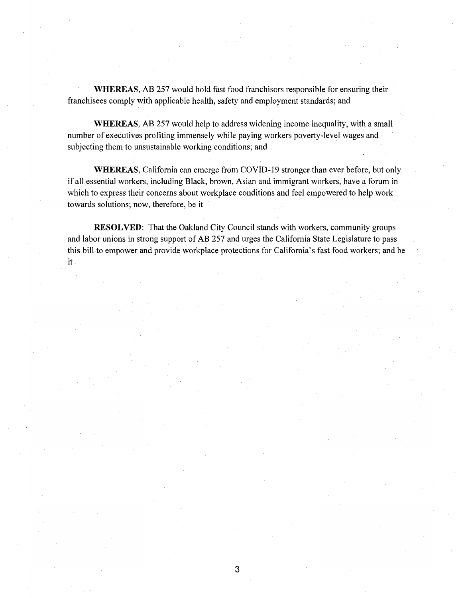**WHEREAS,** AB 257 would hold fast food franchisors responsible for ensuring their franchisees comply with applicable health, safety and employment standards; and

**WHEREAS,** AB 257 would help to address widening income inequality, with a small number of executives profiting immensely while paying workers poverty-level wages and subjecting them to unsustainable working conditions; and

WHEREAS, California can emerge from COV1D-19 stronger than ever before, but only if all essential workers, including Black, brown, Asian and immigrant workers, have a forum in which to express their concerns about workplace conditions and feel empowered to help work towards solutions; now, therefore, be it

**RESOLVED:** That the Oakland City Council stands with workers, community groups and labor unions in strong support of AB 257 and urges the California State Legislature to pass this bill to empower and provide workplace protections for California's fast food workers; and be **it**